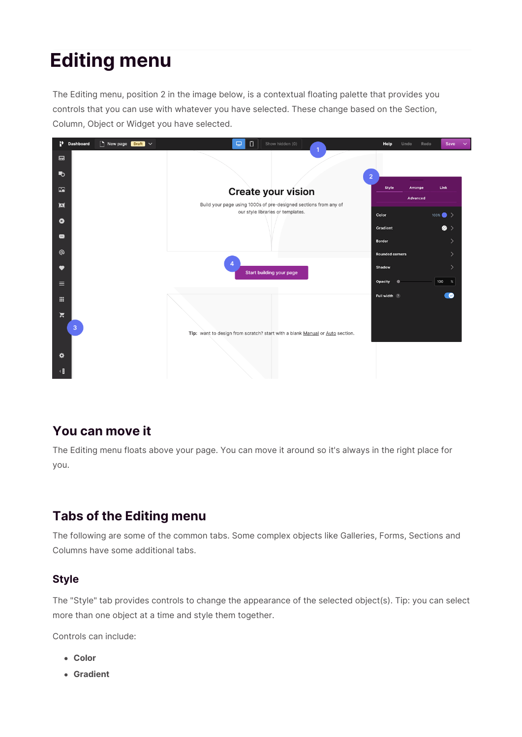# **Editing menu**

The Editing menu, position 2 in the image below, is a contextual floating palette that provides you controls that you can use with whatever you have selected. These change based on the Section, Column, Object or Widget you have selected.



# **You can move it**

The Editing menu floats above your page. You can move it around so it's always in the right place for you.

# **Tabs of the Editing menu**

The following are some of the common tabs. Some complex objects like Galleries, Forms, Sections and Columns have some additional tabs.

## **Style**

The "Style" tab provides controls to change the appearance of the selected object(s). Tip: you can select more than one object at a time and style them together.

Controls can include:

- **Color**
- **Gradient**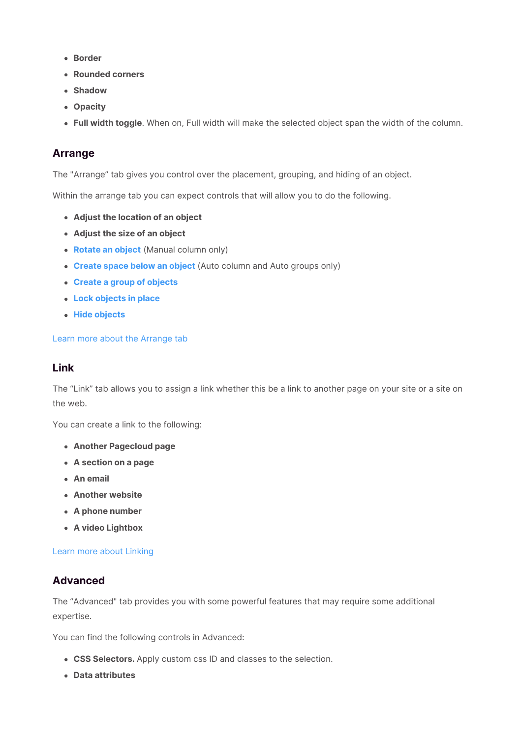- **Border**
- **Rounded corners**
- **Shadow**
- **Opacity**
- **Full width toggle**. When on, Full width will make the selected object span the width of the column.

### **Arrange**

The "Arrange" tab gives you control over the placement, grouping, and hiding of an object.

Within the arrange tab you can expect controls that will allow you to do the following.

- **Adjust the location of an object**
- **Adjust the size of an object**
- **Rotate an object** (Manual column only)
- **Create space below an object** (Auto column and Auto groups only)
- **Create a group of objects**
- **Lock objects in place**
- **Hide objects**

#### Learn more about the Arrange tab

#### **Link**

The "Link" tab allows you to assign a link whether this be a link to another page on your site or a site on the web.

You can create a link to the following:

- **Another Pagecloud page**
- **A section on a page**
- **An email**
- **Another website**
- **A phone number**
- **A video Lightbox**

#### Learn more about Linking

#### **Advanced**

The "Advanced" tab provides you with some powerful features that may require some additional expertise.

You can find the following controls in Advanced:

- **CSS Selectors.** Apply custom css ID and classes to the selection.
- **Data attributes**